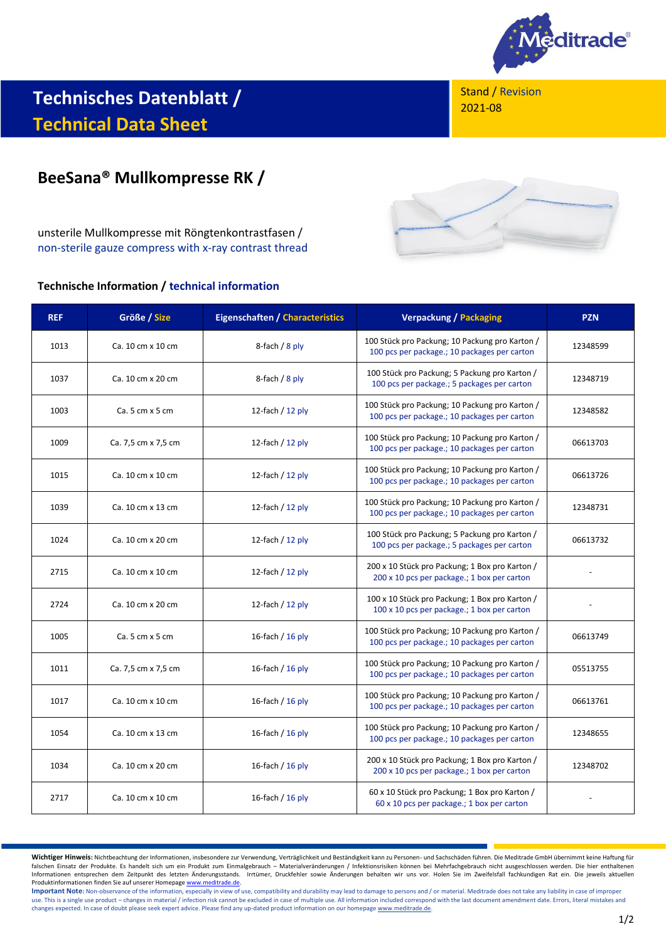

**Technisches Datenblatt / Technical Data Sheet**

Stand / Revision 2021-08

# **BeeSana® Mullkompresse RK /**

unsterile Mullkompresse mit Röngtenkontrastfasen / non-sterile gauze compress with x-ray contrast thread

## **Technische Information / technical information**



| <b>REF</b> | Größe / Size        | <b>Eigenschaften / Characteristics</b> | <b>Verpackung / Packaging</b>                                                                  | <b>PZN</b> |
|------------|---------------------|----------------------------------------|------------------------------------------------------------------------------------------------|------------|
| 1013       | Ca. 10 cm x 10 cm   | 8-fach $/ 8$ ply                       | 100 Stück pro Packung; 10 Packung pro Karton /<br>100 pcs per package.; 10 packages per carton | 12348599   |
| 1037       | Ca. 10 cm x 20 cm   | 8-fach $/ 8$ ply                       | 100 Stück pro Packung; 5 Packung pro Karton /<br>100 pcs per package.; 5 packages per carton   | 12348719   |
| 1003       | Ca. 5 cm x 5 cm     | 12-fach $/$ 12 ply                     | 100 Stück pro Packung; 10 Packung pro Karton /<br>100 pcs per package.; 10 packages per carton | 12348582   |
| 1009       | Ca. 7,5 cm x 7,5 cm | 12-fach $/$ 12 ply                     | 100 Stück pro Packung; 10 Packung pro Karton /<br>100 pcs per package.; 10 packages per carton | 06613703   |
| 1015       | Ca. 10 cm x 10 cm   | 12-fach $/$ 12 ply                     | 100 Stück pro Packung; 10 Packung pro Karton /<br>100 pcs per package.; 10 packages per carton | 06613726   |
| 1039       | Ca. 10 cm x 13 cm   | 12-fach $/$ 12 ply                     | 100 Stück pro Packung; 10 Packung pro Karton /<br>100 pcs per package.; 10 packages per carton | 12348731   |
| 1024       | Ca. 10 cm x 20 cm   | 12-fach $/$ 12 ply                     | 100 Stück pro Packung; 5 Packung pro Karton /<br>100 pcs per package.; 5 packages per carton   | 06613732   |
| 2715       | Ca. 10 cm x 10 cm   | 12-fach $/$ 12 ply                     | 200 x 10 Stück pro Packung; 1 Box pro Karton /<br>200 x 10 pcs per package.; 1 box per carton  |            |
| 2724       | Ca. 10 cm x 20 cm   | 12-fach $/$ 12 ply                     | 100 x 10 Stück pro Packung; 1 Box pro Karton /<br>100 x 10 pcs per package.; 1 box per carton  |            |
| 1005       | Ca. 5 cm x 5 cm     | 16-fach / $16$ ply                     | 100 Stück pro Packung; 10 Packung pro Karton /<br>100 pcs per package.; 10 packages per carton | 06613749   |
| 1011       | Ca. 7,5 cm x 7,5 cm | 16-fach / $16$ ply                     | 100 Stück pro Packung; 10 Packung pro Karton /<br>100 pcs per package.; 10 packages per carton | 05513755   |
| 1017       | Ca. 10 cm x 10 cm   | 16-fach / $16$ ply                     | 100 Stück pro Packung; 10 Packung pro Karton /<br>100 pcs per package.; 10 packages per carton | 06613761   |
| 1054       | Ca. 10 cm x 13 cm   | 16-fach / $16$ ply                     | 100 Stück pro Packung; 10 Packung pro Karton /<br>100 pcs per package.; 10 packages per carton | 12348655   |
| 1034       | Ca. 10 cm x 20 cm   | 16-fach / $16$ ply                     | 200 x 10 Stück pro Packung; 1 Box pro Karton /<br>200 x 10 pcs per package.; 1 box per carton  | 12348702   |
| 2717       | Ca. 10 cm x 10 cm   | 16-fach / 16 ply                       | 60 x 10 Stück pro Packung; 1 Box pro Karton /<br>60 x 10 pcs per package.; 1 box per carton    |            |

Wichtiger Hinweis: Nichtbeachtung der Informationen, insbesondere zur Verwendung, Verträglichkeit und Beständigkeit kann zu Personen- und Sachschäden führen. Die Meditrade GmbH übernimmt keine Haftung für<br>falschen Einsatz Informationen entsprechen dem Zeitpunkt des letzten Änderungsstands. Irrtümer, Druckfehler sowie Änderungen behalten wir uns vor. Holen Sie im Zweifelsfall fachkundigen Rat ein. Die jeweils aktuellen Produktinformationen finden Sie auf unserer Homepag[e www.meditrade.de.](http://www.meditrade.de/)

Important Note: Non-observance of the information, especially in view of use, compatibility and durability may lead to damage to persons and / or material. Meditrade does not take any liability in case of improper use. This is a single use product – changes in material / infection risk cannot be excluded in case of multiple use. All information included correspond with the last document amendment date. Errors, literal mistakes and w changes expected. In case of doubt please seek expert advice. Please find any up-dated product information on our homepag[e www.meditrade.de.](http://www.meditrade.de/)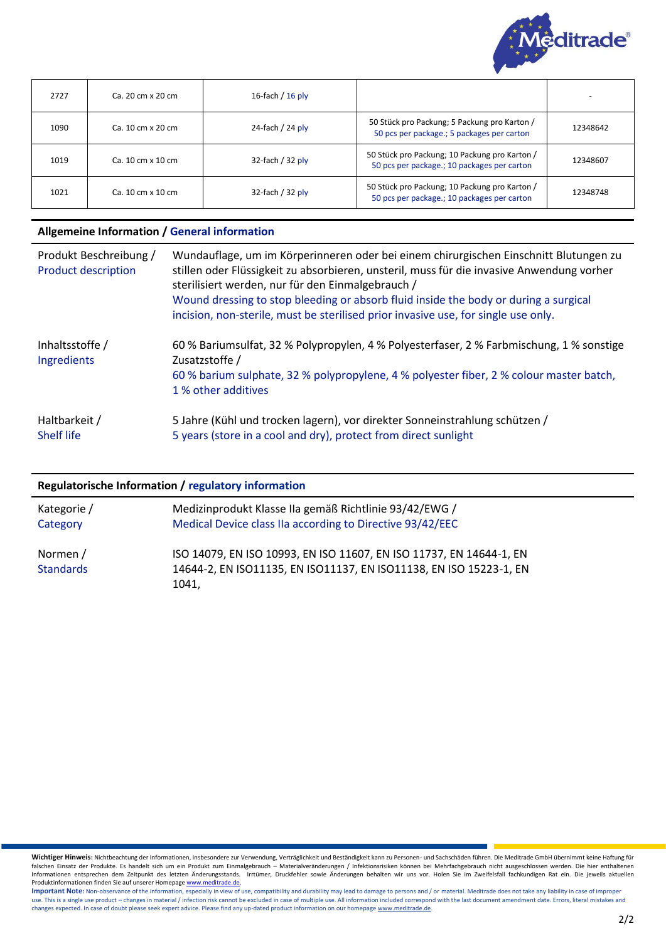

| 2727 | Ca. 20 cm x 20 cm | 16-fach / $16$ ply  |                                                                                              |          |
|------|-------------------|---------------------|----------------------------------------------------------------------------------------------|----------|
| 1090 | Ca. 10 cm x 20 cm | 24-fach / 24 $p$ ly | 50 Stück pro Packung; 5 Packung pro Karton /<br>50 pcs per package.; 5 packages per carton   | 12348642 |
| 1019 | Ca. 10 cm x 10 cm | 32-fach / $32$ ply  | 50 Stück pro Packung; 10 Packung pro Karton /<br>50 pcs per package.; 10 packages per carton | 12348607 |
| 1021 | Ca. 10 cm x 10 cm | 32-fach / $32$ ply  | 50 Stück pro Packung; 10 Packung pro Karton /<br>50 pcs per package.; 10 packages per carton | 12348748 |

#### **Allgemeine Information / General information**

| Produkt Beschreibung /<br><b>Product description</b> | Wundauflage, um im Körperinneren oder bei einem chirurgischen Einschnitt Blutungen zu<br>stillen oder Flüssigkeit zu absorbieren, unsteril, muss für die invasive Anwendung vorher<br>sterilisiert werden, nur für den Einmalgebrauch /<br>Wound dressing to stop bleeding or absorb fluid inside the body or during a surgical<br>incision, non-sterile, must be sterilised prior invasive use, for single use only. |
|------------------------------------------------------|-----------------------------------------------------------------------------------------------------------------------------------------------------------------------------------------------------------------------------------------------------------------------------------------------------------------------------------------------------------------------------------------------------------------------|
| Inhaltsstoffe /<br>Ingredients                       | 60 % Bariumsulfat, 32 % Polypropylen, 4 % Polyesterfaser, 2 % Farbmischung, 1 % sonstige<br>Zusatzstoffe /<br>60 % barium sulphate, 32 % polypropylene, 4 % polyester fiber, 2 % colour master batch,<br>1 % other additives                                                                                                                                                                                          |
| Haltbarkeit /<br><b>Shelf life</b>                   | 5 Jahre (Kühl und trocken lagern), vor direkter Sonneinstrahlung schützen /<br>5 years (store in a cool and dry), protect from direct sunlight                                                                                                                                                                                                                                                                        |

## **Regulatorische Information / regulatory information**

| Kategorie /                  | Medizinprodukt Klasse IIa gemäß Richtlinie 93/42/EWG /                                                                                             |
|------------------------------|----------------------------------------------------------------------------------------------------------------------------------------------------|
| Category                     | Medical Device class IIa according to Directive 93/42/EEC                                                                                          |
| Normen /<br><b>Standards</b> | ISO 14079, EN ISO 10993, EN ISO 11607, EN ISO 11737, EN 14644-1, EN<br>14644-2, EN ISO11135, EN ISO11137, EN ISO11138, EN ISO 15223-1, EN<br>1041. |

Wichtiger Hinweis: Nichtbeachtung der Informationen, insbesondere zur Verwendung, Verträglichkeit und Beständigkeit kann zu Personen- und Sachschäden führen. Die Meditrade GmbH übernimmt keine Haftung für<br>falschen Einsatz Informationen entsprechen dem Zeitpunkt des letzten Änderungsstands. Irrtümer, Druckfehler sowie Änderungen behalten wir uns vor. Holen Sie im Zweifelsfall fachkundigen Rat ein. Die jeweils aktuellen Produktinformationen finden Sie auf unserer Homepag[e www.meditrade.de.](http://www.meditrade.de/)

Important Note: Non-observance of the information, especially in view of use, compatibility and durability may lead to damage to persons and / or material. Meditrade does not take any liability in case of improper use. This is a single use product – changes in material / infection risk cannot be excluded in case of multiple use. All information included correspond with the last document amendment date. Errors, literal mistakes and w changes expected. In case of doubt please seek expert advice. Please find any up-dated product information on our homepag[e www.meditrade.de.](http://www.meditrade.de/)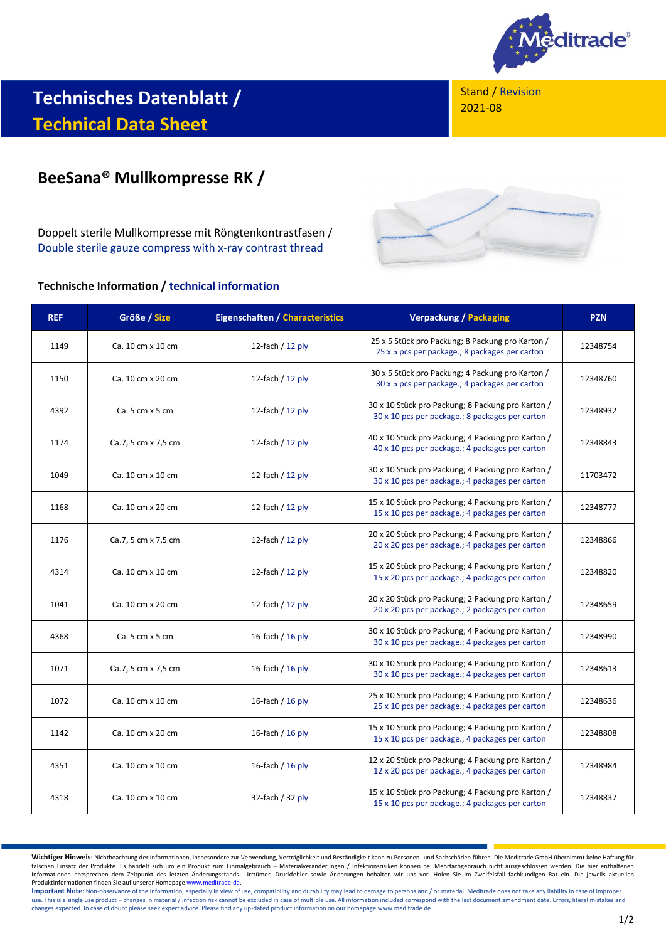

Stand / Revision 2021-08

# **Technisches Datenblatt / Technical Data Sheet**

# **BeeSana® Mullkompresse RK /**

Doppelt sterile Mullkompresse mit Röngtenkontrastfasen / Double sterile gauze compress with x-ray contrast thread

## **Technische Information / technical information**



| <b>REF</b> | Größe / Size        | <b>Eigenschaften / Characteristics</b> | <b>Verpackung / Packaging</b>                                                                        | <b>PZN</b> |
|------------|---------------------|----------------------------------------|------------------------------------------------------------------------------------------------------|------------|
| 1149       | Ca. 10 cm x 10 cm   | 12-fach $/$ 12 ply                     | 25 x 5 Stück pro Packung; 8 Packung pro Karton /<br>25 x 5 pcs per package.; 8 packages per carton   | 12348754   |
| 1150       | Ca. 10 cm x 20 cm   | 12-fach $/$ 12 ply                     | 30 x 5 Stück pro Packung; 4 Packung pro Karton /<br>30 x 5 pcs per package.; 4 packages per carton   | 12348760   |
| 4392       | Ca. 5 cm x 5 cm     | 12-fach $/$ 12 ply                     | 30 x 10 Stück pro Packung; 8 Packung pro Karton /<br>30 x 10 pcs per package.; 8 packages per carton | 12348932   |
| 1174       | Ca.7, 5 cm x 7,5 cm | 12-fach / 12 ply                       | 40 x 10 Stück pro Packung; 4 Packung pro Karton /<br>40 x 10 pcs per package.; 4 packages per carton | 12348843   |
| 1049       | Ca. 10 cm x 10 cm   | 12-fach $/$ 12 ply                     | 30 x 10 Stück pro Packung; 4 Packung pro Karton /<br>30 x 10 pcs per package.; 4 packages per carton | 11703472   |
| 1168       | Ca. 10 cm x 20 cm   | 12-fach $/$ 12 ply                     | 15 x 10 Stück pro Packung; 4 Packung pro Karton /<br>15 x 10 pcs per package.; 4 packages per carton | 12348777   |
| 1176       | Ca.7, 5 cm x 7,5 cm | 12-fach $/$ 12 ply                     | 20 x 20 Stück pro Packung; 4 Packung pro Karton /<br>20 x 20 pcs per package.; 4 packages per carton | 12348866   |
| 4314       | Ca. 10 cm x 10 cm   | 12-fach $/$ 12 ply                     | 15 x 20 Stück pro Packung; 4 Packung pro Karton /<br>15 x 20 pcs per package.; 4 packages per carton | 12348820   |
| 1041       | Ca. 10 cm x 20 cm   | 12-fach $/$ 12 ply                     | 20 x 20 Stück pro Packung; 2 Packung pro Karton /<br>20 x 20 pcs per package.; 2 packages per carton | 12348659   |
| 4368       | Ca. 5 cm x 5 cm     | 16-fach $/$ 16 ply                     | 30 x 10 Stück pro Packung; 4 Packung pro Karton /<br>30 x 10 pcs per package.; 4 packages per carton | 12348990   |
| 1071       | Ca.7, 5 cm x 7,5 cm | 16-fach $/$ 16 ply                     | 30 x 10 Stück pro Packung; 4 Packung pro Karton /<br>30 x 10 pcs per package.; 4 packages per carton | 12348613   |
| 1072       | Ca. 10 cm x 10 cm   | 16-fach / 16 ply                       | 25 x 10 Stück pro Packung; 4 Packung pro Karton /<br>25 x 10 pcs per package.; 4 packages per carton | 12348636   |
| 1142       | Ca. 10 cm x 20 cm   | 16-fach / $16$ ply                     | 15 x 10 Stück pro Packung; 4 Packung pro Karton /<br>15 x 10 pcs per package.; 4 packages per carton | 12348808   |
| 4351       | Ca. 10 cm x 10 cm   | 16-fach $/$ 16 ply                     | 12 x 20 Stück pro Packung; 4 Packung pro Karton /<br>12 x 20 pcs per package.; 4 packages per carton | 12348984   |
| 4318       | Ca. 10 cm x 10 cm   | 32-fach / 32 ply                       | 15 x 10 Stück pro Packung; 4 Packung pro Karton /<br>15 x 10 pcs per package.; 4 packages per carton | 12348837   |

Wichtiger Hinweis: Nichtbeachtung der Informationen, insbesondere zur Verwendung, Verträglichkeit und Beständigkeit kann zu Personen- und Sachschäden führen. Die Meditrade GmbH übernimmt keine Haftung für<br>falschen Einsatz Informationen entsprechen dem Zeitpunkt des letzten Änderungsstands. Irrtümer, Druckfehler sowie Änderungen behalten wir uns vor. Holen Sie im Zweifelsfall fachkundigen Rat ein. Die jeweils aktuellen Produktinformationen finden Sie auf unserer Homepag[e www.meditrade.de.](http://www.meditrade.de/)

Important Note: Non-observance of the information, especially in view of use, compatibility and durability may lead to damage to persons and / or material. Meditrade does not take any liability in case of improper use. This is a single use product – changes in material / infection risk cannot be excluded in case of multiple use. All information included correspond with the last document amendment date. Errors, literal mistakes and w changes expected. In case of doubt please seek expert advice. Please find any up-dated product information on our homepag[e www.meditrade.de.](http://www.meditrade.de/)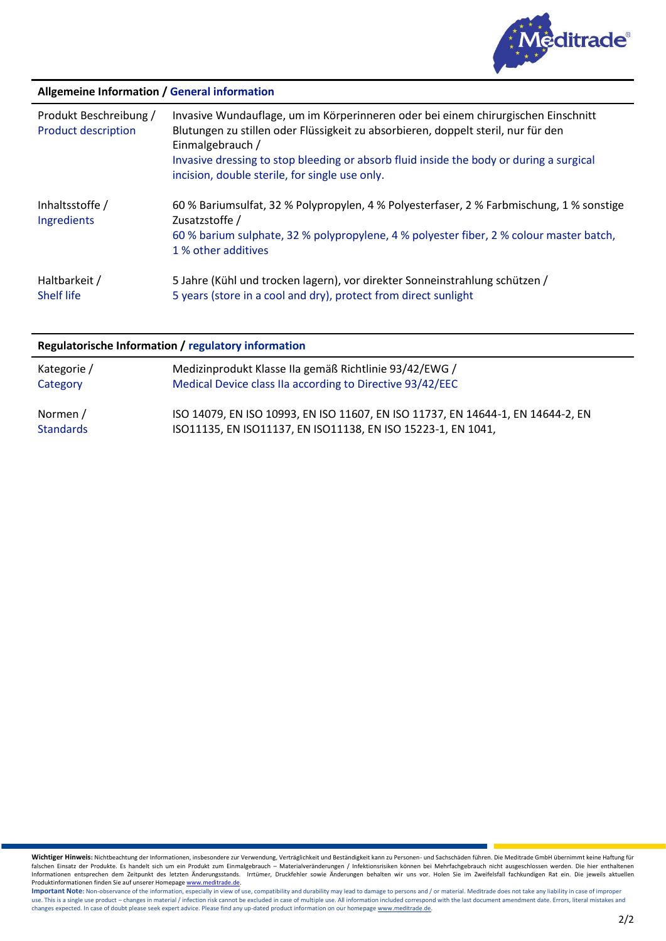

# **Allgemeine Information / General information**

| Produkt Beschreibung /<br><b>Product description</b> | Invasive Wundauflage, um im Körperinneren oder bei einem chirurgischen Einschnitt<br>Blutungen zu stillen oder Flüssigkeit zu absorbieren, doppelt steril, nur für den<br>Einmalgebrauch /<br>Invasive dressing to stop bleeding or absorb fluid inside the body or during a surgical<br>incision, double sterile, for single use only. |
|------------------------------------------------------|-----------------------------------------------------------------------------------------------------------------------------------------------------------------------------------------------------------------------------------------------------------------------------------------------------------------------------------------|
| Inhaltsstoffe /<br>Ingredients                       | 60 % Bariumsulfat, 32 % Polypropylen, 4 % Polyesterfaser, 2 % Farbmischung, 1 % sonstige<br>Zusatzstoffe /<br>60 % barium sulphate, 32 % polypropylene, 4 % polyester fiber, 2 % colour master batch,<br>1 % other additives                                                                                                            |
| Haltbarkeit /<br><b>Shelf life</b>                   | 5 Jahre (Kühl und trocken lagern), vor direkter Sonneinstrahlung schützen /<br>5 years (store in a cool and dry), protect from direct sunlight                                                                                                                                                                                          |

# **Regulatorische Information / regulatory information**

| Kategorie /      | Medizinprodukt Klasse IIa gemäß Richtlinie 93/42/EWG /                          |
|------------------|---------------------------------------------------------------------------------|
| Category         | Medical Device class IIa according to Directive 93/42/EEC                       |
| Normen /         | ISO 14079, EN ISO 10993, EN ISO 11607, EN ISO 11737, EN 14644-1, EN 14644-2, EN |
| <b>Standards</b> | ISO11135, EN ISO11137, EN ISO11138, EN ISO 15223-1, EN 1041,                    |

Wichtiger Hinweis: Nichtbeachtung der Informationen, insbesondere zur Verwendung, Verträglichkeit und Beständigkeit kann zu Personen- und Sachschäden führen. Die Meditrade GmbH übernimmt keine Haftung für<br>falschen Einsatz Informationen entsprechen dem Zeitpunkt des letzten Änderungsstands. Irrtümer, Druckfehler sowie Änderungen behalten wir uns vor. Holen Sie im Zweifelsfall fachkundigen Rat ein. Die jeweils aktuellen Produktinformationen finden Sie auf unserer Homepag[e www.meditrade.de.](http://www.meditrade.de/)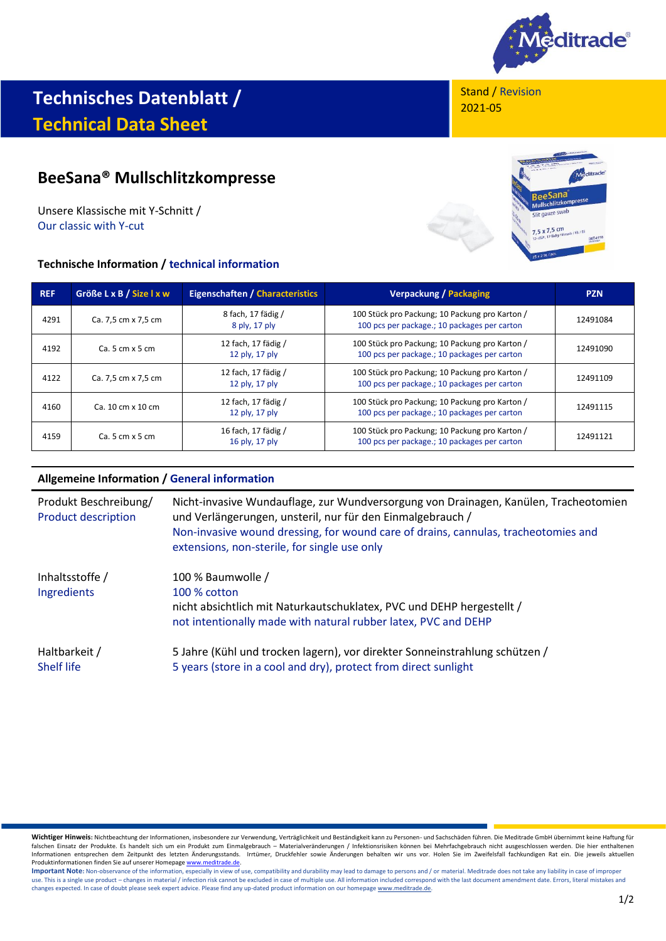

# **Technisches Datenblatt / Technical Data Sheet**

# **BeeSana® Mullschlitzkompresse**

Unsere Klassische mit Y-Schnitt / Our classic with Y-cut

# **Technische Information / technical information**

Stand / Revision 2021-05



| REF  | Größe L x B / Size I x w | <b>Eigenschaften / Characteristics</b> | <b>Verpackung / Packaging</b>                                                                  | <b>PZN</b> |
|------|--------------------------|----------------------------------------|------------------------------------------------------------------------------------------------|------------|
| 4291 | Ca. 7,5 cm x 7,5 cm      | 8 fach, 17 fädig /<br>8 ply, 17 ply    | 100 Stück pro Packung; 10 Packung pro Karton /<br>100 pcs per package.; 10 packages per carton | 12491084   |
| 4192 | $Ca.5 cm \times 5 cm$    | 12 fach, 17 fädig /<br>12 ply, 17 ply  | 100 Stück pro Packung; 10 Packung pro Karton /<br>100 pcs per package.; 10 packages per carton | 12491090   |
| 4122 | Ca. 7,5 cm x 7,5 cm      | 12 fach, 17 fädig /<br>12 ply, 17 ply  | 100 Stück pro Packung; 10 Packung pro Karton /<br>100 pcs per package.; 10 packages per carton | 12491109   |
| 4160 | Ca. 10 cm x 10 cm        | 12 fach, 17 fädig /<br>12 ply, 17 ply  | 100 Stück pro Packung; 10 Packung pro Karton /<br>100 pcs per package.; 10 packages per carton | 12491115   |
| 4159 | $Ca.5 cm \times 5 cm$    | 16 fach, 17 fädig /<br>16 ply, 17 ply  | 100 Stück pro Packung; 10 Packung pro Karton /<br>100 pcs per package.; 10 packages per carton | 12491121   |

# **Allgemeine Information / General information**

| Produkt Beschreibung/<br><b>Product description</b> | Nicht-invasive Wundauflage, zur Wundversorgung von Drainagen, Kanülen, Tracheotomien<br>und Verlängerungen, unsteril, nur für den Einmalgebrauch /<br>Non-invasive wound dressing, for wound care of drains, cannulas, tracheotomies and<br>extensions, non-sterile, for single use only |
|-----------------------------------------------------|------------------------------------------------------------------------------------------------------------------------------------------------------------------------------------------------------------------------------------------------------------------------------------------|
| Inhaltsstoffe /<br>Ingredients                      | 100 % Baumwolle /<br>100 % cotton<br>nicht absichtlich mit Naturkautschuklatex, PVC und DEHP hergestellt /<br>not intentionally made with natural rubber latex, PVC and DEHP                                                                                                             |
| Haltbarkeit /<br><b>Shelf life</b>                  | 5 Jahre (Kühl und trocken lagern), vor direkter Sonneinstrahlung schützen /<br>5 years (store in a cool and dry), protect from direct sunlight                                                                                                                                           |

**Wichtiger Hinweis:** Nichtbeachtung der Informationen, insbesondere zur Verwendung, Verträglichkeit und Beständigkeit kann zu Personen- und Sachschäden führen. Die Meditrade GmbH übernimmt keine Haftung für<br>falschen Einsat Produktinformationen finden Sie auf unserer Homepag[e www.meditrade.de.](http://www.meditrade.de/)

Important Note: Non-observance of the information, especially in view of use, compatibility and durability may lead to damage to persons and / or material. Meditrade does not take any liability in case of improper use. This is a single use product – changes in material / infection risk cannot be excluded in case of multiple use. All information included correspond with the last document amendment date. Errors, literal mistakes and<br>c